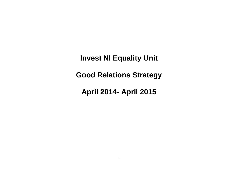**Invest NI Equality Unit**

**Good Relations Strategy**

**April 2014- April 2015**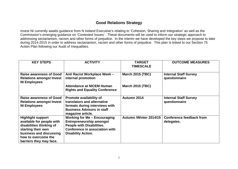## **Good Relations Strategy**

Invest NI currently awaits guidance from N Ireland Executive's relating to 'Cohesion, Sharing and Integration' as well as the Commission's emerging guidance on 'Contested Issues'. These documents will be used to inform our strategic approach to addressing sectarianism, racism and other forms of prejudice. In the interim we have developed the key steps we propose to take during 2014-2015 in order to address sectarianism, racism and other forms of prejudice. This plan is linked to our Section 75 Action Plan following our Audit of Inequalities.

| <b>KEY STEPS</b>                                                                                                                                                                     | <b>ACTIVITY</b>                                                                                                                                                                  | <b>TARGET</b><br><b>TIMESCALE</b> | <b>OUTCOME MEASURES</b>                       |
|--------------------------------------------------------------------------------------------------------------------------------------------------------------------------------------|----------------------------------------------------------------------------------------------------------------------------------------------------------------------------------|-----------------------------------|-----------------------------------------------|
| <b>Raise awareness of Good</b><br><b>Relations amongst Invest</b><br><b>NI Employees</b>                                                                                             | Anti Racist Workplace Week -<br>internal promotion                                                                                                                               | <b>March 2015 (TBC)</b>           | <b>Internal Staff Survey</b><br>questionnaire |
|                                                                                                                                                                                      | <b>Attendance at NICEM Human</b><br><b>Rights and Equality Conference</b>                                                                                                        | <b>March 2015 (TBC)</b>           |                                               |
| <b>Raise awareness of Good</b><br><b>Relations amongst Invest</b><br><b>NI Employees</b>                                                                                             | Promote availability of<br>translators and alternative<br>formats during interviews with<br><b>Business Advisors in staff</b><br>magazine article.                               | Autumn 2014                       | <b>Internal Staff Survey</b><br>questionnaire |
| <b>Highlight support</b><br>available for people with<br>disabilities thinking of<br>starting their own<br>business and discussing<br>how to overcome the<br>barriers they may face. | <b>Working for Me - Encouraging</b><br><b>Entrepreneurship amongst</b><br><b>People with Disabilities.</b><br><b>Conference in association with</b><br><b>Disability Action.</b> | Autumn /Winter 2014/15            | <b>Conference feedback from</b><br>delegates. |